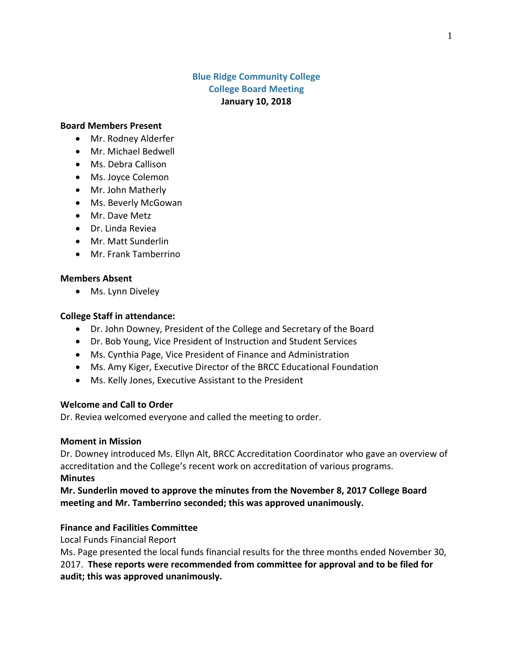# **Blue Ridge Community College College Board Meeting January 10, 2018**

#### **Board Members Present**

- Mr. Rodney Alderfer
- Mr. Michael Bedwell
- Ms. Debra Callison
- Ms. Joyce Colemon
- Mr. John Matherly
- Ms. Beverly McGowan
- Mr. Dave Metz
- Dr. Linda Reviea
- Mr. Matt Sunderlin
- Mr. Frank Tamberrino

#### **Members Absent**

• Ms. Lynn Diveley

### **College Staff in attendance:**

- Dr. John Downey, President of the College and Secretary of the Board
- Dr. Bob Young, Vice President of Instruction and Student Services
- Ms. Cynthia Page, Vice President of Finance and Administration
- Ms. Amy Kiger, Executive Director of the BRCC Educational Foundation
- Ms. Kelly Jones, Executive Assistant to the President

### **Welcome and Call to Order**

Dr. Reviea welcomed everyone and called the meeting to order.

### **Moment in Mission**

Dr. Downey introduced Ms. Ellyn Alt, BRCC Accreditation Coordinator who gave an overview of accreditation and the College's recent work on accreditation of various programs.

### **Minutes**

**Mr. Sunderlin moved to approve the minutes from the November 8, 2017 College Board meeting and Mr. Tamberrino seconded; this was approved unanimously.**

### **Finance and Facilities Committee**

Local Funds Financial Report

Ms. Page presented the local funds financial results for the three months ended November 30, 2017. **These reports were recommended from committee for approval and to be filed for audit; this was approved unanimously.**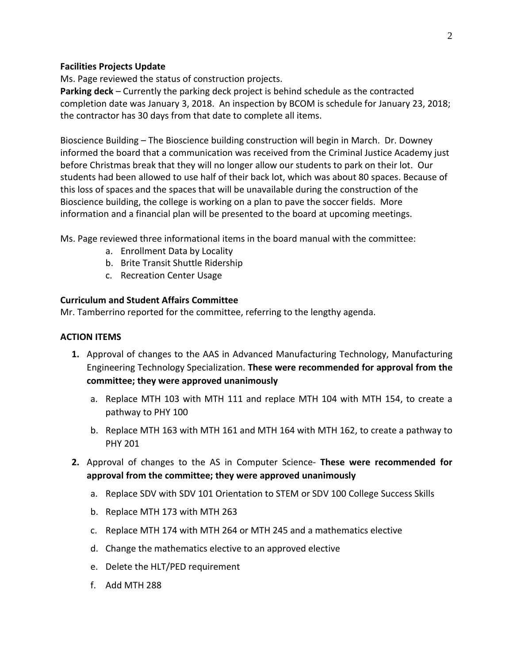## **Facilities Projects Update**

Ms. Page reviewed the status of construction projects.

**Parking deck** – Currently the parking deck project is behind schedule as the contracted completion date was January 3, 2018. An inspection by BCOM is schedule for January 23, 2018; the contractor has 30 days from that date to complete all items.

Bioscience Building – The Bioscience building construction will begin in March. Dr. Downey informed the board that a communication was received from the Criminal Justice Academy just before Christmas break that they will no longer allow our students to park on their lot. Our students had been allowed to use half of their back lot, which was about 80 spaces. Because of this loss of spaces and the spaces that will be unavailable during the construction of the Bioscience building, the college is working on a plan to pave the soccer fields. More information and a financial plan will be presented to the board at upcoming meetings.

- Ms. Page reviewed three informational items in the board manual with the committee:
	- a. Enrollment Data by Locality
	- b. Brite Transit Shuttle Ridership
	- c. Recreation Center Usage

## **Curriculum and Student Affairs Committee**

Mr. Tamberrino reported for the committee, referring to the lengthy agenda.

# **ACTION ITEMS**

- **1.** Approval of changes to the AAS in Advanced Manufacturing Technology, Manufacturing Engineering Technology Specialization. **These were recommended for approval from the committee; they were approved unanimously**
	- a. Replace MTH 103 with MTH 111 and replace MTH 104 with MTH 154, to create a pathway to PHY 100
	- b. Replace MTH 163 with MTH 161 and MTH 164 with MTH 162, to create a pathway to PHY 201
- **2.** Approval of changes to the AS in Computer Science- **These were recommended for approval from the committee; they were approved unanimously**
	- a. Replace SDV with SDV 101 Orientation to STEM or SDV 100 College Success Skills
	- b. Replace MTH 173 with MTH 263
	- c. Replace MTH 174 with MTH 264 or MTH 245 and a mathematics elective
	- d. Change the mathematics elective to an approved elective
	- e. Delete the HLT/PED requirement
	- f. Add MTH 288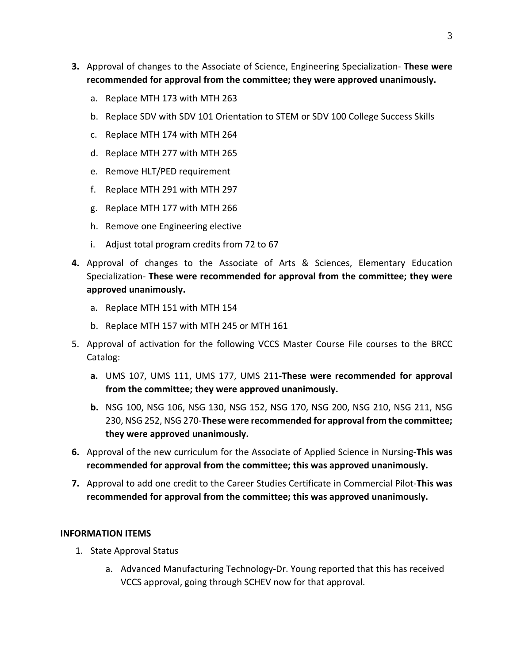- **3.** Approval of changes to the Associate of Science, Engineering Specialization- **These were recommended for approval from the committee; they were approved unanimously.**
	- a. Replace MTH 173 with MTH 263
	- b. Replace SDV with SDV 101 Orientation to STEM or SDV 100 College Success Skills
	- c. Replace MTH 174 with MTH 264
	- d. Replace MTH 277 with MTH 265
	- e. Remove HLT/PED requirement
	- f. Replace MTH 291 with MTH 297
	- g. Replace MTH 177 with MTH 266
	- h. Remove one Engineering elective
	- i. Adjust total program credits from 72 to 67
- **4.** Approval of changes to the Associate of Arts & Sciences, Elementary Education Specialization- **These were recommended for approval from the committee; they were approved unanimously.**
	- a. Replace MTH 151 with MTH 154
	- b. Replace MTH 157 with MTH 245 or MTH 161
- 5. Approval of activation for the following VCCS Master Course File courses to the BRCC Catalog:
	- **a.** UMS 107, UMS 111, UMS 177, UMS 211-**These were recommended for approval from the committee; they were approved unanimously.**
	- **b.** NSG 100, NSG 106, NSG 130, NSG 152, NSG 170, NSG 200, NSG 210, NSG 211, NSG 230, NSG 252, NSG 270-**These were recommended for approval from the committee; they were approved unanimously.**
- **6.** Approval of the new curriculum for the Associate of Applied Science in Nursing-**This was recommended for approval from the committee; this was approved unanimously.**
- **7.** Approval to add one credit to the Career Studies Certificate in Commercial Pilot-**This was recommended for approval from the committee; this was approved unanimously.**

## **INFORMATION ITEMS**

- 1. State Approval Status
	- a. Advanced Manufacturing Technology-Dr. Young reported that this has received VCCS approval, going through SCHEV now for that approval.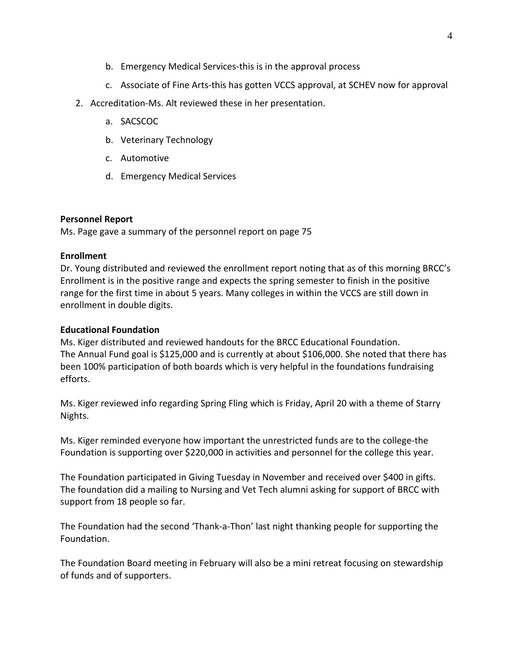- b. Emergency Medical Services-this is in the approval process
- c. Associate of Fine Arts-this has gotten VCCS approval, at SCHEV now for approval
- 2. Accreditation-Ms. Alt reviewed these in her presentation.
	- a. SACSCOC
	- b. Veterinary Technology
	- c. Automotive
	- d. Emergency Medical Services

### **Personnel Report**

Ms. Page gave a summary of the personnel report on page 75

## **Enrollment**

Dr. Young distributed and reviewed the enrollment report noting that as of this morning BRCC's Enrollment is in the positive range and expects the spring semester to finish in the positive range for the first time in about 5 years. Many colleges in within the VCCS are still down in enrollment in double digits.

## **Educational Foundation**

Ms. Kiger distributed and reviewed handouts for the BRCC Educational Foundation. The Annual Fund goal is \$125,000 and is currently at about \$106,000. She noted that there has been 100% participation of both boards which is very helpful in the foundations fundraising efforts.

Ms. Kiger reviewed info regarding Spring Fling which is Friday, April 20 with a theme of Starry Nights.

Ms. Kiger reminded everyone how important the unrestricted funds are to the college-the Foundation is supporting over \$220,000 in activities and personnel for the college this year.

The Foundation participated in Giving Tuesday in November and received over \$400 in gifts. The foundation did a mailing to Nursing and Vet Tech alumni asking for support of BRCC with support from 18 people so far.

The Foundation had the second 'Thank-a-Thon' last night thanking people for supporting the Foundation.

The Foundation Board meeting in February will also be a mini retreat focusing on stewardship of funds and of supporters.